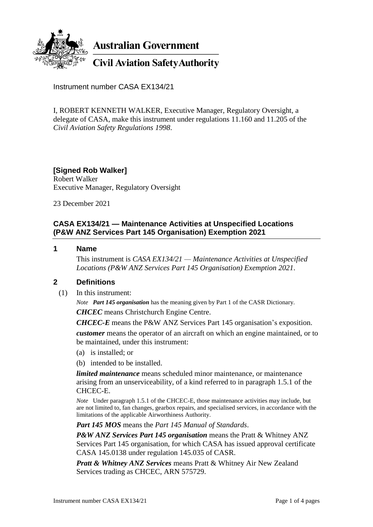

**Australian Government** 

**Civil Aviation Safety Authority** 

Instrument number CASA EX134/21

I, ROBERT KENNETH WALKER, Executive Manager, Regulatory Oversight, a delegate of CASA, make this instrument under regulations 11.160 and 11.205 of the *Civil Aviation Safety Regulations 1998*.

# **[Signed Rob Walker]**

Robert Walker Executive Manager, Regulatory Oversight

23 December 2021

## **CASA EX134/21 — Maintenance Activities at Unspecified Locations (P&W ANZ Services Part 145 Organisation) Exemption 2021**

#### **1 Name**

This instrument is *CASA EX134/21 — Maintenance Activities at Unspecified Locations (P&W ANZ Services Part 145 Organisation) Exemption 2021*.

### **2 Definitions**

(1) In this instrument:

*Note Part 145 organisation* has the meaning given by Part 1 of the CASR Dictionary.

*CHCEC* means Christchurch Engine Centre.

*CHCEC-E* means the P&W ANZ Services Part 145 organisation's exposition.

*customer* means the operator of an aircraft on which an engine maintained, or to be maintained, under this instrument:

- (a) is installed; or
- (b) intended to be installed.

*limited maintenance* means scheduled minor maintenance, or maintenance arising from an unserviceability, of a kind referred to in paragraph 1.5.1 of the CHCEC-E.

*Note* Under paragraph 1.5.1 of the CHCEC-E, those maintenance activities may include, but are not limited to, fan changes, gearbox repairs, and specialised services, in accordance with the limitations of the applicable Airworthiness Authority.

*Part 145 MOS* means the *Part 145 Manual of Standards*.

*P&W ANZ Services Part 145 organisation* means the Pratt & Whitney ANZ Services Part 145 organisation, for which CASA has issued approval certificate CASA 145.0138 under regulation 145.035 of CASR.

*Pratt & Whitney ANZ Services* means Pratt & Whitney Air New Zealand Services trading as CHCEC, ARN 575729.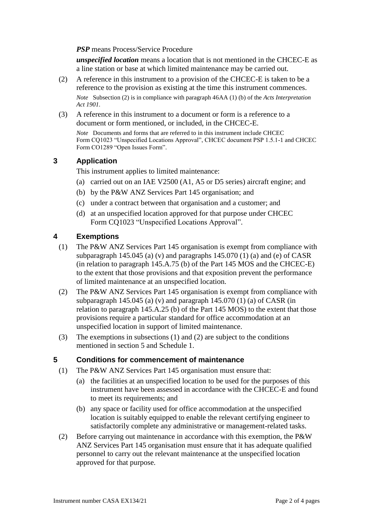*PSP* means Process/Service Procedure

*unspecified location* means a location that is not mentioned in the CHCEC-E as a line station or base at which limited maintenance may be carried out.

(2) A reference in this instrument to a provision of the CHCEC-E is taken to be a reference to the provision as existing at the time this instrument commences.

*Note* Subsection (2) is in compliance with paragraph 46AA (1) (b) of the *Acts Interpretation Act 1901*.

(3) A reference in this instrument to a document or form is a reference to a document or form mentioned, or included, in the CHCEC-E.

*Note* Documents and forms that are referred to in this instrument include CHCEC Form CQ1023 "Unspecified Locations Approval", CHCEC document PSP 1.5.1-1 and CHCEC Form CO1289 "Open Issues Form".

### **3 Application**

This instrument applies to limited maintenance:

- (a) carried out on an IAE V2500 (A1, A5 or D5 series) aircraft engine; and
- (b) by the P&W ANZ Services Part 145 organisation; and
- (c) under a contract between that organisation and a customer; and
- (d) at an unspecified location approved for that purpose under CHCEC Form CQ1023 "Unspecified Locations Approval".

### **4 Exemptions**

- (1) The P&W ANZ Services Part 145 organisation is exempt from compliance with subparagraph 145.045 (a) (v) and paragraphs 145.070 (1) (a) and (e) of CASR (in relation to paragraph 145.A.75 (b) of the Part 145 MOS and the CHCEC-E) to the extent that those provisions and that exposition prevent the performance of limited maintenance at an unspecified location.
- (2) The P&W ANZ Services Part 145 organisation is exempt from compliance with subparagraph 145.045 (a) (v) and paragraph 145.070 (1) (a) of CASR (in relation to paragraph 145.A.25 (b) of the Part 145 MOS) to the extent that those provisions require a particular standard for office accommodation at an unspecified location in support of limited maintenance.
- (3) The exemptions in subsections (1) and (2) are subject to the conditions mentioned in section 5 and Schedule 1.

### **5 Conditions for commencement of maintenance**

- (1) The P&W ANZ Services Part 145 organisation must ensure that:
	- (a) the facilities at an unspecified location to be used for the purposes of this instrument have been assessed in accordance with the CHCEC-E and found to meet its requirements; and
	- (b) any space or facility used for office accommodation at the unspecified location is suitably equipped to enable the relevant certifying engineer to satisfactorily complete any administrative or management-related tasks.
- (2) Before carrying out maintenance in accordance with this exemption, the P&W ANZ Services Part 145 organisation must ensure that it has adequate qualified personnel to carry out the relevant maintenance at the unspecified location approved for that purpose.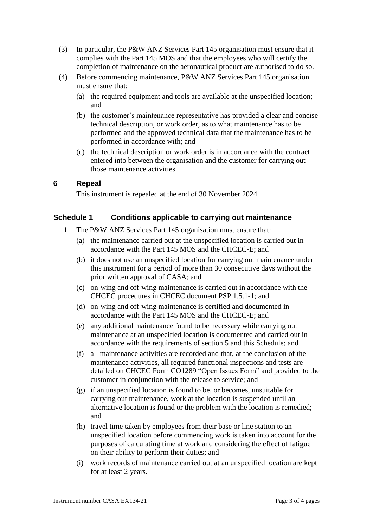- (3) In particular, the P&W ANZ Services Part 145 organisation must ensure that it complies with the Part 145 MOS and that the employees who will certify the completion of maintenance on the aeronautical product are authorised to do so.
- (4) Before commencing maintenance, P&W ANZ Services Part 145 organisation must ensure that:
	- (a) the required equipment and tools are available at the unspecified location; and
	- (b) the customer's maintenance representative has provided a clear and concise technical description, or work order, as to what maintenance has to be performed and the approved technical data that the maintenance has to be performed in accordance with; and
	- (c) the technical description or work order is in accordance with the contract entered into between the organisation and the customer for carrying out those maintenance activities.

### **6 Repeal**

This instrument is repealed at the end of 30 November 2024.

### **Schedule 1 Conditions applicable to carrying out maintenance**

- 1 The P&W ANZ Services Part 145 organisation must ensure that:
	- (a) the maintenance carried out at the unspecified location is carried out in accordance with the Part 145 MOS and the CHCEC-E; and
	- (b) it does not use an unspecified location for carrying out maintenance under this instrument for a period of more than 30 consecutive days without the prior written approval of CASA; and
	- (c) on-wing and off-wing maintenance is carried out in accordance with the CHCEC procedures in CHCEC document PSP 1.5.1-1; and
	- (d) on-wing and off-wing maintenance is certified and documented in accordance with the Part 145 MOS and the CHCEC-E; and
	- (e) any additional maintenance found to be necessary while carrying out maintenance at an unspecified location is documented and carried out in accordance with the requirements of section 5 and this Schedule; and
	- (f) all maintenance activities are recorded and that, at the conclusion of the maintenance activities, all required functional inspections and tests are detailed on CHCEC Form CO1289 "Open Issues Form" and provided to the customer in conjunction with the release to service; and
	- (g) if an unspecified location is found to be, or becomes, unsuitable for carrying out maintenance, work at the location is suspended until an alternative location is found or the problem with the location is remedied; and
	- (h) travel time taken by employees from their base or line station to an unspecified location before commencing work is taken into account for the purposes of calculating time at work and considering the effect of fatigue on their ability to perform their duties; and
	- (i) work records of maintenance carried out at an unspecified location are kept for at least 2 years.